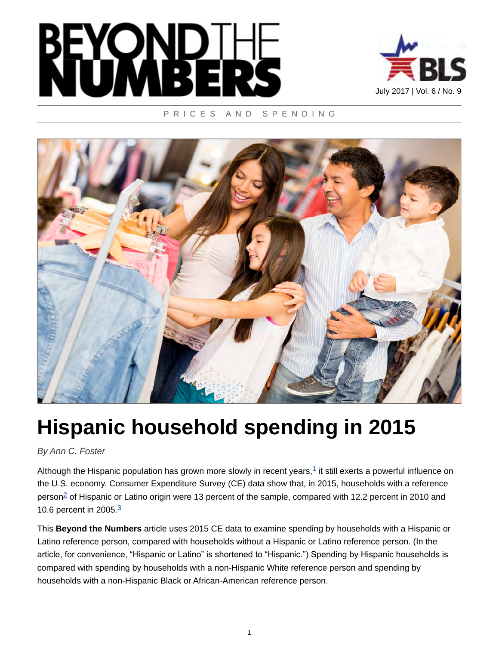



### PRICES AND SPENDING



# **Hispanic household spending in 2015**

*By Ann C. Foster*

<span id="page-0-1"></span><span id="page-0-0"></span>Although the Hispanic population has grown more slowly in recent years, $1$  it still exerts a powerful influence on the U.S. economy. Consumer Expenditure Survey (CE) data show that, in 2015, households with a reference person<sup>[2](#page-6-0)</sup> of Hispanic or Latino origin were 13 percent of the sample, compared with 12.2 percent in 2010 and 10.6 percent in 2005.<sup>[3](#page-6-1)</sup>

<span id="page-0-2"></span>This **Beyond the Numbers** article uses 2015 CE data to examine spending by households with a Hispanic or Latino reference person, compared with households without a Hispanic or Latino reference person. (In the article, for convenience, "Hispanic or Latino" is shortened to "Hispanic.") Spending by Hispanic households is compared with spending by households with a non-Hispanic White reference person and spending by households with a non-Hispanic Black or African-American reference person.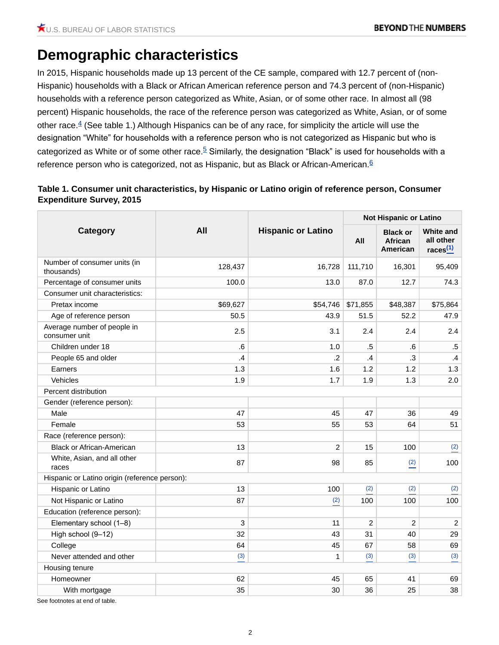# **Demographic characteristics**

<span id="page-1-1"></span>In 2015, Hispanic households made up 13 percent of the CE sample, compared with 12.7 percent of (non-Hispanic) households with a Black or African American reference person and 74.3 percent of (non-Hispanic) households with a reference person categorized as White, Asian, or of some other race. In almost all (98 percent) Hispanic households, the race of the reference person was categorized as White, Asian, or of some other race. $4$  (See table 1.) Although Hispanics can be of any race, for simplicity the article will use the designation "White" for households with a reference person who is not categorized as Hispanic but who is categorized as White or of some other race.<sup>[5](#page-6-3)</sup> Similarly, the designation "Black" is used for households with a reference person who is categorized, not as Hispanic, but as Black or African-American.<sup>[6](#page-6-4)</sup>

## <span id="page-1-3"></span><span id="page-1-2"></span><span id="page-1-0"></span>**Table 1. Consumer unit characteristics, by Hispanic or Latino origin of reference person, Consumer Expenditure Survey, 2015**

| Category                                      | All           | <b>Hispanic or Latino</b> | <b>Not Hispanic or Latino</b> |                                        |                                              |  |
|-----------------------------------------------|---------------|---------------------------|-------------------------------|----------------------------------------|----------------------------------------------|--|
|                                               |               |                           | All                           | <b>Black or</b><br>African<br>American | <b>White and</b><br>all other<br>races $(1)$ |  |
| Number of consumer units (in<br>thousands)    | 128,437       | 16,728                    | 111,710                       | 16,301                                 | 95,409                                       |  |
| Percentage of consumer units                  | 100.0         | 13.0                      | 87.0                          | 12.7                                   | 74.3                                         |  |
| Consumer unit characteristics:                |               |                           |                               |                                        |                                              |  |
| Pretax income                                 | \$69,627      |                           | \$54,746 \$71,855             | \$48,387                               | \$75,864                                     |  |
| Age of reference person                       | 50.5          | 43.9                      | 51.5                          | 52.2                                   | 47.9                                         |  |
| Average number of people in<br>consumer unit  | 2.5           | 3.1                       | 2.4                           | 2.4                                    | 2.4                                          |  |
| Children under 18                             | 6.            | 1.0                       | $.5\,$                        | ${\bf .6}$                             | $.5\,$                                       |  |
| People 65 and older                           | $\mathcal{A}$ | $\cdot$ .2                | $\mathcal{A}$                 | $\cdot$ 3                              | $\mathcal{A}$                                |  |
| Earners                                       | 1.3           | 1.6                       | 1.2                           | 1.2                                    | 1.3                                          |  |
| Vehicles                                      | 1.9           | 1.7                       | 1.9                           | 1.3                                    | 2.0                                          |  |
| Percent distribution                          |               |                           |                               |                                        |                                              |  |
| Gender (reference person):                    |               |                           |                               |                                        |                                              |  |
| Male                                          | 47            | 45                        | 47                            | 36                                     | 49                                           |  |
| Female                                        | 53            | 55                        | 53                            | 64                                     | 51                                           |  |
| Race (reference person):                      |               |                           |                               |                                        |                                              |  |
| <b>Black or African-American</b>              | 13            | $\overline{2}$            | 15                            | 100                                    | (2)                                          |  |
| White, Asian, and all other<br>races          | 87            | 98                        | 85                            | (2)                                    | 100                                          |  |
| Hispanic or Latino origin (reference person): |               |                           |                               |                                        |                                              |  |
| Hispanic or Latino                            | 13            | 100                       | (2)                           | (2)                                    | (2)                                          |  |
| Not Hispanic or Latino                        | 87            | (2)                       | 100                           | 100                                    | 100                                          |  |
| Education (reference person):                 |               |                           |                               |                                        |                                              |  |
| Elementary school (1-8)                       | 3             | 11                        | $\overline{c}$                | $\overline{c}$                         | $\overline{c}$                               |  |
| High school (9-12)                            | 32            | 43                        | 31                            | 40                                     | 29                                           |  |
| College                                       | 64            | 45                        | 67                            | 58                                     | 69                                           |  |
| Never attended and other                      | (3)           | $\mathbf{1}$              | (3)                           | (3)                                    | (3)                                          |  |
| Housing tenure                                |               |                           |                               |                                        |                                              |  |
| Homeowner                                     | 62            | 45                        | 65                            | 41                                     | 69                                           |  |
| With mortgage                                 | 35            | 30                        | 36                            | 25                                     | 38                                           |  |
|                                               |               |                           |                               |                                        |                                              |  |

See footnotes at end of table.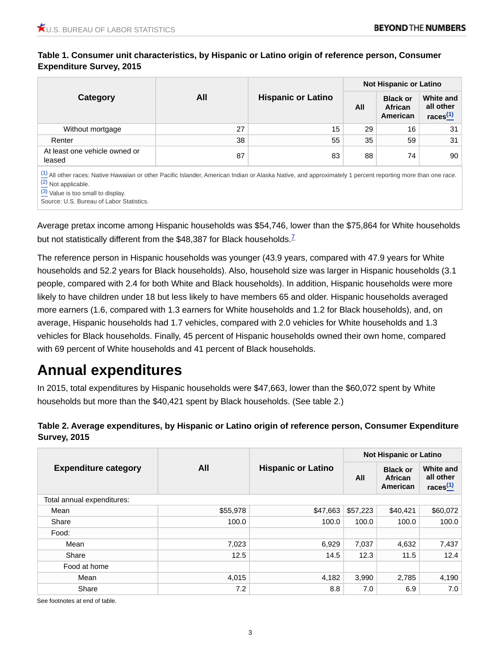## **Table 1. Consumer unit characteristics, by Hispanic or Latino origin of reference person, Consumer Expenditure Survey, 2015**

| Category                                | All | <b>Hispanic or Latino</b> | <b>Not Hispanic or Latino</b> |                                        |                                              |
|-----------------------------------------|-----|---------------------------|-------------------------------|----------------------------------------|----------------------------------------------|
|                                         |     |                           | All                           | <b>Black or</b><br>African<br>American | <b>White and</b><br>all other<br>races $(1)$ |
| Without mortgage                        | 27  | 15                        | 29                            | 16                                     | 31                                           |
| Renter                                  | 38  | 55                        | 35                            | 59                                     | 31                                           |
| At least one vehicle owned or<br>leased | 87  | 83                        | 88                            | 74                                     | 90                                           |

 $(1)$  All other races: Native Hawaiian or other Pacific Islander, American Indian or Alaska Native, and approximately 1 percent reporting more than one race. [\(2\)](#page-1-0) Not applicable.

[\(3\)](#page-1-0) Value is too small to display.

<span id="page-2-0"></span>Source: U.S. Bureau of Labor Statistics.

Average pretax income among Hispanic households was \$54,746, lower than the \$75,864 for White households but not statistically different from the \$48,38[7](#page-6-5) for Black households.<sup>7</sup>

The reference person in Hispanic households was younger (43.9 years, compared with 47.9 years for White households and 52.2 years for Black households). Also, household size was larger in Hispanic households (3.1 people, compared with 2.4 for both White and Black households). In addition, Hispanic households were more likely to have children under 18 but less likely to have members 65 and older. Hispanic households averaged more earners (1.6, compared with 1.3 earners for White households and 1.2 for Black households), and, on average, Hispanic households had 1.7 vehicles, compared with 2.0 vehicles for White households and 1.3 vehicles for Black households. Finally, 45 percent of Hispanic households owned their own home, compared with 69 percent of White households and 41 percent of Black households.

# **Annual expenditures**

In 2015, total expenditures by Hispanic households were \$47,663, lower than the \$60,072 spent by White households but more than the \$40,421 spent by Black households. (See table 2.)

## **Table 2. Average expenditures, by Hispanic or Latino origin of reference person, Consumer Expenditure Survey, 2015**

| <b>Expenditure category</b> | All      | <b>Hispanic or Latino</b> | <b>Not Hispanic or Latino</b> |                                        |                                       |  |
|-----------------------------|----------|---------------------------|-------------------------------|----------------------------------------|---------------------------------------|--|
|                             |          |                           | All                           | <b>Black or</b><br>African<br>American | White and<br>all other<br>races $(1)$ |  |
| Total annual expenditures:  |          |                           |                               |                                        |                                       |  |
| Mean                        | \$55,978 | \$47,663                  | \$57,223                      | \$40,421                               | \$60,072                              |  |
| Share                       | 100.0    | 100.0                     | 100.0                         | 100.0                                  | 100.0                                 |  |
| Food:                       |          |                           |                               |                                        |                                       |  |
| Mean                        | 7,023    | 6,929                     | 7,037                         | 4,632                                  | 7,437                                 |  |
| Share                       | 12.5     | 14.5                      | 12.3                          | 11.5                                   | 12.4                                  |  |
| Food at home                |          |                           |                               |                                        |                                       |  |
| Mean                        | 4,015    | 4,182                     | 3,990                         | 2,785                                  | 4,190                                 |  |
| Share                       | 7.2      | 8.8                       | 7.0                           | 6.9                                    | 7.0                                   |  |

See footnotes at end of table.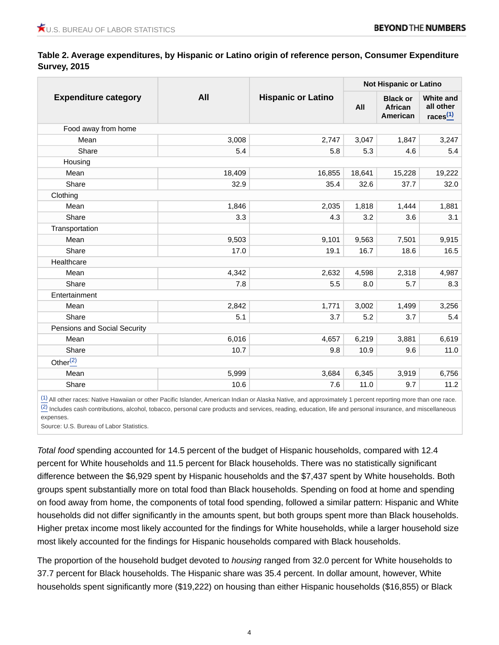**Table 2. Average expenditures, by Hispanic or Latino origin of reference person, Consumer Expenditure Survey, 2015**

| <b>Expenditure category</b>  | All    | <b>Hispanic or Latino</b> | <b>Not Hispanic or Latino</b> |                                        |                                                 |
|------------------------------|--------|---------------------------|-------------------------------|----------------------------------------|-------------------------------------------------|
|                              |        |                           | All                           | <b>Black or</b><br>African<br>American | <b>White and</b><br>all other<br>$races(1)}{1}$ |
| Food away from home          |        |                           |                               |                                        |                                                 |
| Mean                         | 3,008  | 2,747                     | 3,047                         | 1,847                                  | 3,247                                           |
| Share                        | 5.4    | 5.8                       | 5.3                           | 4.6                                    | 5.4                                             |
| Housing                      |        |                           |                               |                                        |                                                 |
| Mean                         | 18,409 | 16,855                    | 18,641                        | 15,228                                 | 19,222                                          |
| Share                        | 32.9   | 35.4                      | 32.6                          | 37.7                                   | 32.0                                            |
| Clothing                     |        |                           |                               |                                        |                                                 |
| Mean                         | 1,846  | 2,035                     | 1,818                         | 1,444                                  | 1,881                                           |
| Share                        | 3.3    | 4.3                       | 3.2                           | 3.6                                    | 3.1                                             |
| Transportation               |        |                           |                               |                                        |                                                 |
| Mean                         | 9,503  | 9,101                     | 9,563                         | 7,501                                  | 9,915                                           |
| Share                        | 17.0   | 19.1                      | 16.7                          | 18.6                                   | 16.5                                            |
| Healthcare                   |        |                           |                               |                                        |                                                 |
| Mean                         | 4,342  | 2,632                     | 4,598                         | 2,318                                  | 4,987                                           |
| Share                        | 7.8    | 5.5                       | 8.0                           | 5.7                                    | 8.3                                             |
| Entertainment                |        |                           |                               |                                        |                                                 |
| Mean                         | 2,842  | 1,771                     | 3,002                         | 1,499                                  | 3,256                                           |
| Share                        | 5.1    | 3.7                       | 5.2                           | 3.7                                    | 5.4                                             |
| Pensions and Social Security |        |                           |                               |                                        |                                                 |
| Mean                         | 6,016  | 4,657                     | 6,219                         | 3,881                                  | 6,619                                           |
| Share                        | 10.7   | 9.8                       | 10.9                          | 9.6                                    | 11.0                                            |
| Other $(2)$                  |        |                           |                               |                                        |                                                 |
| Mean                         | 5,999  | 3,684                     | 6,345                         | 3,919                                  | 6,756                                           |
| Share                        | 10.6   | 7.6                       | 11.0                          | 9.7                                    | 11.2                                            |
|                              |        |                           |                               |                                        |                                                 |

 $\frac{(1)}{1}$  $\frac{(1)}{1}$  $\frac{(1)}{1}$  All other races: Native Hawaiian or other Pacific Islander, American Indian or Alaska Native, and approximately 1 percent reporting more than one race. [\(2\)](#page-1-0) Includes cash contributions, alcohol, tobacco, personal care products and services, reading, education, life and personal insurance, and miscellaneous expenses.

Source: U.S. Bureau of Labor Statistics.

*Total food* spending accounted for 14.5 percent of the budget of Hispanic households, compared with 12.4 percent for White households and 11.5 percent for Black households. There was no statistically significant difference between the \$6,929 spent by Hispanic households and the \$7,437 spent by White households. Both groups spent substantially more on total food than Black households. Spending on food at home and spending on food away from home, the components of total food spending, followed a similar pattern: Hispanic and White households did not differ significantly in the amounts spent, but both groups spent more than Black households. Higher pretax income most likely accounted for the findings for White households, while a larger household size most likely accounted for the findings for Hispanic households compared with Black households.

The proportion of the household budget devoted to *housing* ranged from 32.0 percent for White households to 37.7 percent for Black households. The Hispanic share was 35.4 percent. In dollar amount, however, White households spent significantly more (\$19,222) on housing than either Hispanic households (\$16,855) or Black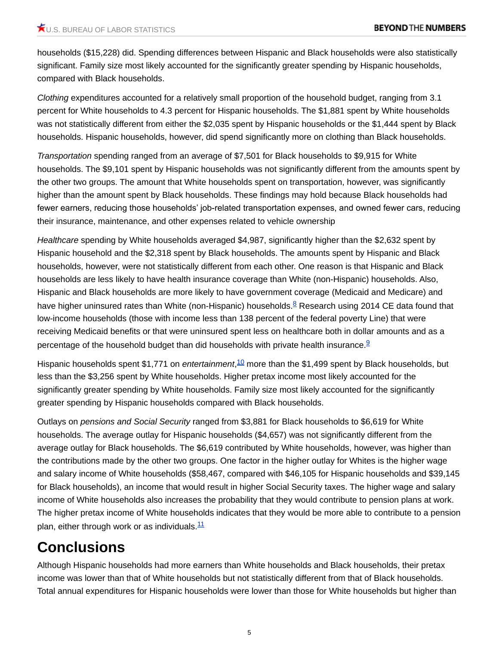households (\$15,228) did. Spending differences between Hispanic and Black households were also statistically significant. Family size most likely accounted for the significantly greater spending by Hispanic households, compared with Black households.

*Clothing* expenditures accounted for a relatively small proportion of the household budget, ranging from 3.1 percent for White households to 4.3 percent for Hispanic households. The \$1,881 spent by White households was not statistically different from either the \$2,035 spent by Hispanic households or the \$1,444 spent by Black households. Hispanic households, however, did spend significantly more on clothing than Black households.

*Transportation* spending ranged from an average of \$7,501 for Black households to \$9,915 for White households. The \$9,101 spent by Hispanic households was not significantly different from the amounts spent by the other two groups. The amount that White households spent on transportation, however, was significantly higher than the amount spent by Black households. These findings may hold because Black households had fewer earners, reducing those households' job-related transportation expenses, and owned fewer cars, reducing their insurance, maintenance, and other expenses related to vehicle ownership

*Healthcare* spending by White households averaged \$4,987, significantly higher than the \$2,632 spent by Hispanic household and the \$2,318 spent by Black households. The amounts spent by Hispanic and Black households, however, were not statistically different from each other. One reason is that Hispanic and Black households are less likely to have health insurance coverage than White (non-Hispanic) households. Also, Hispanic and Black households are more likely to have government coverage (Medicaid and Medicare) and have higher uninsured rates than White (non-Hispanic) households. $8 \text{ Research using } 2014 \text{ CE}$  $8 \text{ Research using } 2014 \text{ CE}$  data found that low-income households (those with income less than 138 percent of the federal poverty Line) that were receiving Medicaid benefits or that were uninsured spent less on healthcare both in dollar amounts and as a percentage of the household budget than did households with private health insurance.<sup>[9](#page-7-1)</sup>

<span id="page-4-2"></span><span id="page-4-1"></span><span id="page-4-0"></span>Hispanic households spent \$1,771 on *entertainment*,[10](#page-7-2) more than the \$1,499 spent by Black households, but less than the \$3,256 spent by White households. Higher pretax income most likely accounted for the significantly greater spending by White households. Family size most likely accounted for the significantly greater spending by Hispanic households compared with Black households.

Outlays on *pensions and Social Security* ranged from \$3,881 for Black households to \$6,619 for White households. The average outlay for Hispanic households (\$4,657) was not significantly different from the average outlay for Black households. The \$6,619 contributed by White households, however, was higher than the contributions made by the other two groups. One factor in the higher outlay for Whites is the higher wage and salary income of White households (\$58,467, compared with \$46,105 for Hispanic households and \$39,145 for Black households), an income that would result in higher Social Security taxes. The higher wage and salary income of White households also increases the probability that they would contribute to pension plans at work. The higher pretax income of White households indicates that they would be more able to contribute to a pension plan, either through work or as individuals. $11$ 

# <span id="page-4-3"></span>**Conclusions**

Although Hispanic households had more earners than White households and Black households, their pretax income was lower than that of White households but not statistically different from that of Black households. Total annual expenditures for Hispanic households were lower than those for White households but higher than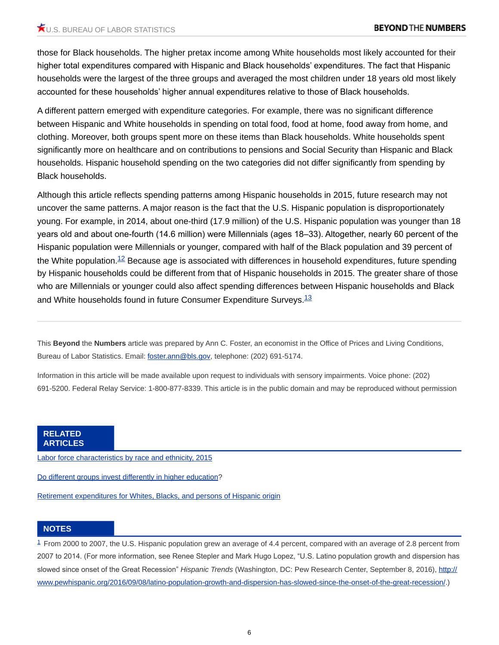those for Black households. The higher pretax income among White households most likely accounted for their higher total expenditures compared with Hispanic and Black households' expenditures. The fact that Hispanic households were the largest of the three groups and averaged the most children under 18 years old most likely accounted for these households' higher annual expenditures relative to those of Black households.

A different pattern emerged with expenditure categories. For example, there was no significant difference between Hispanic and White households in spending on total food, food at home, food away from home, and clothing. Moreover, both groups spent more on these items than Black households. White households spent significantly more on healthcare and on contributions to pensions and Social Security than Hispanic and Black households. Hispanic household spending on the two categories did not differ significantly from spending by Black households.

<span id="page-5-1"></span>Although this article reflects spending patterns among Hispanic households in 2015, future research may not uncover the same patterns. A major reason is the fact that the U.S. Hispanic population is disproportionately young. For example, in 2014, about one-third (17.9 million) of the U.S. Hispanic population was younger than 18 years old and about one-fourth (14.6 million) were Millennials (ages 18–33). Altogether, nearly 60 percent of the Hispanic population were Millennials or younger, compared with half of the Black population and 39 percent of the White population.<sup>[12](#page-7-4)</sup> Because age is associated with differences in household expenditures, future spending by Hispanic households could be different from that of Hispanic households in 2015. The greater share of those who are Millennials or younger could also affect spending differences between Hispanic households and Black and White households found in future Consumer Expenditure Surveys.<sup>[13](#page-7-5)</sup>

<span id="page-5-2"></span>This **Beyond** the **Numbers** article was prepared by Ann C. Foster, an economist in the Office of Prices and Living Conditions, Bureau of Labor Statistics. Email: [foster.ann@bls.gov](mailto:foster.ann@bls.gov), telephone: (202) 691-5174.

Information in this article will be made available upon request to individuals with sensory impairments. Voice phone: (202) 691-5200. Federal Relay Service: 1-800-877-8339. This article is in the public domain and may be reproduced without permission

#### **RELATED ARTICLES**

[Labor force characteristics by race and ethnicity, 2015](https://www.bls.gov/opub/reports/race-and-ethnicity/2015/home.htm)

[Do different groups invest differently in higher education?](https://www.bls.gov/opub/btn/volume-3/do-different-groups-invest-differently-in-higher-education.htm)

[Retirement expenditures for Whites, Blacks, and persons of Hispanic origin](https://www.bls.gov/opub/mlr/2003/06/art3full.pdf)

#### **NOTES**

<span id="page-5-0"></span> $1$  From 2000 to 2007, the U.S. Hispanic population grew an average of 4.4 percent, compared with an average of 2.8 percent from 2007 to 2014. (For more information, see Renee Stepler and Mark Hugo Lopez, "U.S. Latino population growth and dispersion has slowed since onset of the Great Recession" *Hispanic Trends* (Washington, DC: Pew Research Center, September 8, 2016), [http://](http://www.pewhispanic.org/2016/09/08/latino-population-growth-and-dispersion-has-slowed-since-the-onset-of-the-great-recession/) [www.pewhispanic.org/2016/09/08/latino-population-growth-and-dispersion-has-slowed-since-the-onset-of-the-great-recession/.](http://www.pewhispanic.org/2016/09/08/latino-population-growth-and-dispersion-has-slowed-since-the-onset-of-the-great-recession/))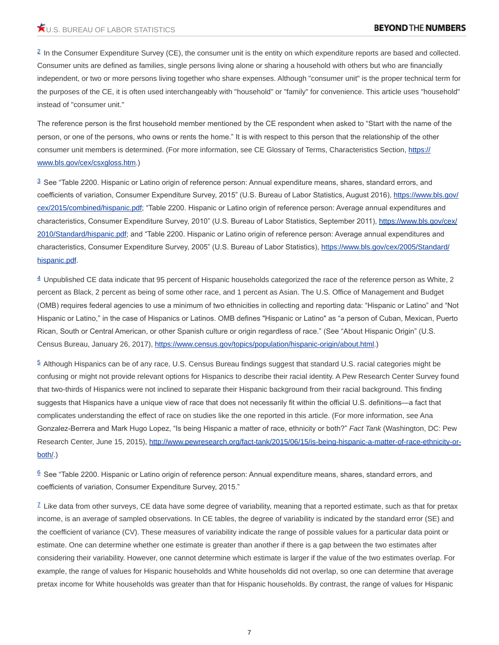<span id="page-6-0"></span><sup>[2](#page-0-1)</sup> In the Consumer Expenditure Survey (CE), the consumer unit is the entity on which expenditure reports are based and collected. Consumer units are defined as families, single persons living alone or sharing a household with others but who are financially independent, or two or more persons living together who share expenses. Although "consumer unit" is the proper technical term for the purposes of the CE, it is often used interchangeably with "household" or "family" for convenience. This article uses "household" instead of "consumer unit."

The reference person is the first household member mentioned by the CE respondent when asked to "Start with the name of the person, or one of the persons, who owns or rents the home." It is with respect to this person that the relationship of the other consumer unit members is determined. (For more information, see CE Glossary of Terms, Characteristics Section, [https://](https://www.bls.gov/cex/csxgloss.htm) [www.bls.gov/cex/csxgloss.htm.](https://www.bls.gov/cex/csxgloss.htm))

<span id="page-6-1"></span> $3$  See "Table 2200. Hispanic or Latino origin of reference person: Annual expenditure means, shares, standard errors, and coefficients of variation, Consumer Expenditure Survey, 2015" (U.S. Bureau of Labor Statistics, August 2016), [https://www.bls.gov/](https://www.bls.gov/cex/2015/combined/hispanic.pdf) [cex/2015/combined/hispanic.pdf](https://www.bls.gov/cex/2015/combined/hispanic.pdf); "Table 2200. Hispanic or Latino origin of reference person: Average annual expenditures and characteristics, Consumer Expenditure Survey, 2010" (U.S. Bureau of Labor Statistics, September 2011), [https://www.bls.gov/cex/](https://www.bls.gov/cex/2010/Standard/hispanic.pdf) [2010/Standard/hispanic.pdf](https://www.bls.gov/cex/2010/Standard/hispanic.pdf); and "Table 2200. Hispanic or Latino origin of reference person: Average annual expenditures and characteristics, Consumer Expenditure Survey, 2005" (U.S. Bureau of Labor Statistics), [https://www.bls.gov/cex/2005/Standard/](https://www.bls.gov/cex/2005/Standard/hispanic.pdf) [hispanic.pdf.](https://www.bls.gov/cex/2005/Standard/hispanic.pdf)

<span id="page-6-2"></span> $4$  Unpublished CE data indicate that 95 percent of Hispanic households categorized the race of the reference person as White, 2 percent as Black, 2 percent as being of some other race, and 1 percent as Asian. The U.S. Office of Management and Budget (OMB) requires federal agencies to use a minimum of two ethnicities in collecting and reporting data: "Hispanic or Latino" and "Not Hispanic or Latino," in the case of Hispanics or Latinos. OMB defines "Hispanic or Latino" as "a person of Cuban, Mexican, Puerto Rican, South or Central American, or other Spanish culture or origin regardless of race." (See "About Hispanic Origin" (U.S. Census Bureau, January 26, 2017),<https://www.census.gov/topics/population/hispanic-origin/about.html>.)

<span id="page-6-3"></span> $5$  Although Hispanics can be of any race, U.S. Census Bureau findings suggest that standard U.S. racial categories might be confusing or might not provide relevant options for Hispanics to describe their racial identity. A Pew Research Center Survey found that two-thirds of Hispanics were not inclined to separate their Hispanic background from their racial background. This finding suggests that Hispanics have a unique view of race that does not necessarily fit within the official U.S. definitions—a fact that complicates understanding the effect of race on studies like the one reported in this article. (For more information, see Ana Gonzalez-Berrera and Mark Hugo Lopez, "Is being Hispanic a matter of race, ethnicity or both?" *Fact Tank* (Washington, DC: Pew Research Center, June 15, 2015), [http://www.pewresearch.org/fact-tank/2015/06/15/is-being-hispanic-a-matter-of-race-ethnicity-or](http://www.pewresearch.org/fact-tank/2015/06/15/is-being-hispanic-a-matter-of-race-ethnicity-or-both/)[both/.](http://www.pewresearch.org/fact-tank/2015/06/15/is-being-hispanic-a-matter-of-race-ethnicity-or-both/))

<span id="page-6-4"></span> $6$  See "Table 2200. Hispanic or Latino origin of reference person: Annual expenditure means, shares, standard errors, and coefficients of variation, Consumer Expenditure Survey, 2015."

<span id="page-6-5"></span> $I$  Like data from other surveys, CE data have some degree of variability, meaning that a reported estimate, such as that for pretax income, is an average of sampled observations. In CE tables, the degree of variability is indicated by the standard error (SE) and the coefficient of variance (CV). These measures of variability indicate the range of possible values for a particular data point or estimate. One can determine whether one estimate is greater than another if there is a gap between the two estimates after considering their variability. However, one cannot determine which estimate is larger if the value of the two estimates overlap. For example, the range of values for Hispanic households and White households did not overlap, so one can determine that average pretax income for White households was greater than that for Hispanic households. By contrast, the range of values for Hispanic